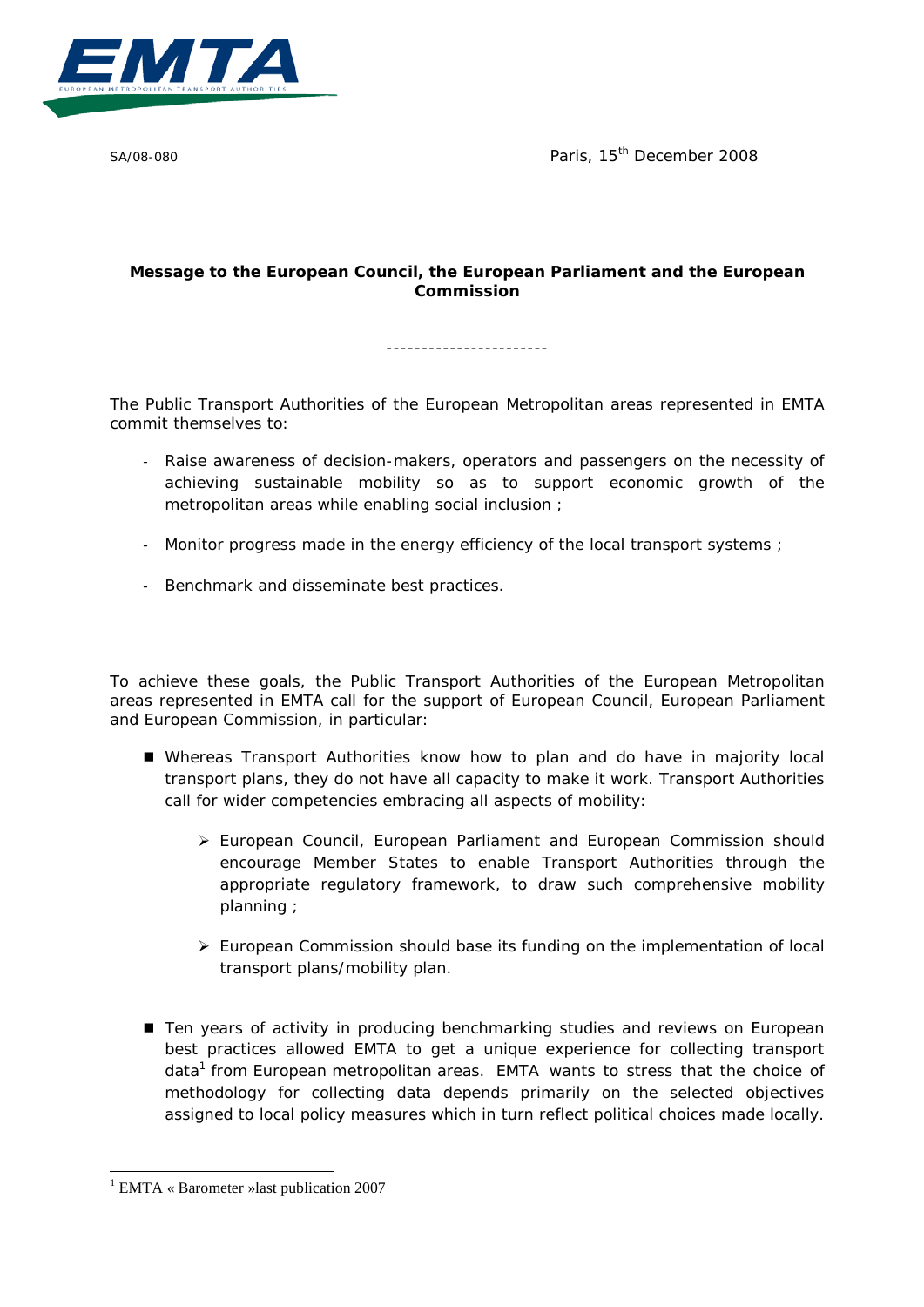

SA/08-080 **Paris, 15<sup>th</sup> December 2008** 

## **Message to the European Council, the European Parliament and the European Commission**

-----------------------

The Public Transport Authorities of the European Metropolitan areas represented in EMTA commit themselves to:

- Raise awareness of decision-makers, operators and passengers on the necessity of achieving sustainable mobility so as to support economic growth of the metropolitan areas while enabling social inclusion ;
- Monitor progress made in the energy efficiency of the local transport systems ;
- Benchmark and disseminate best practices.

To achieve these goals, the Public Transport Authorities of the European Metropolitan areas represented in EMTA call for the support of European Council, European Parliament and European Commission, in particular:

- Whereas Transport Authorities know how to plan and do have in majority local transport plans, they do not have all capacity to make it work. Transport Authorities call for wider competencies embracing all aspects of mobility:
	- $\triangleright$  European Council, European Parliament and European Commission should encourage Member States to enable Transport Authorities through the appropriate regulatory framework, to draw such comprehensive mobility planning ;
	- $\triangleright$  European Commission should base its funding on the implementation of local transport plans/mobility plan.
- Ten years of activity in producing benchmarking studies and reviews on European best practices allowed EMTA to get a unique experience for collecting transport data<sup>1</sup> from European metropolitan areas. EMTA wants to stress that the choice of methodology for collecting data depends primarily on the selected objectives assigned to local policy measures which in turn reflect political choices made locally.

 <sup>1</sup> EMTA « Barometer »last publication 2007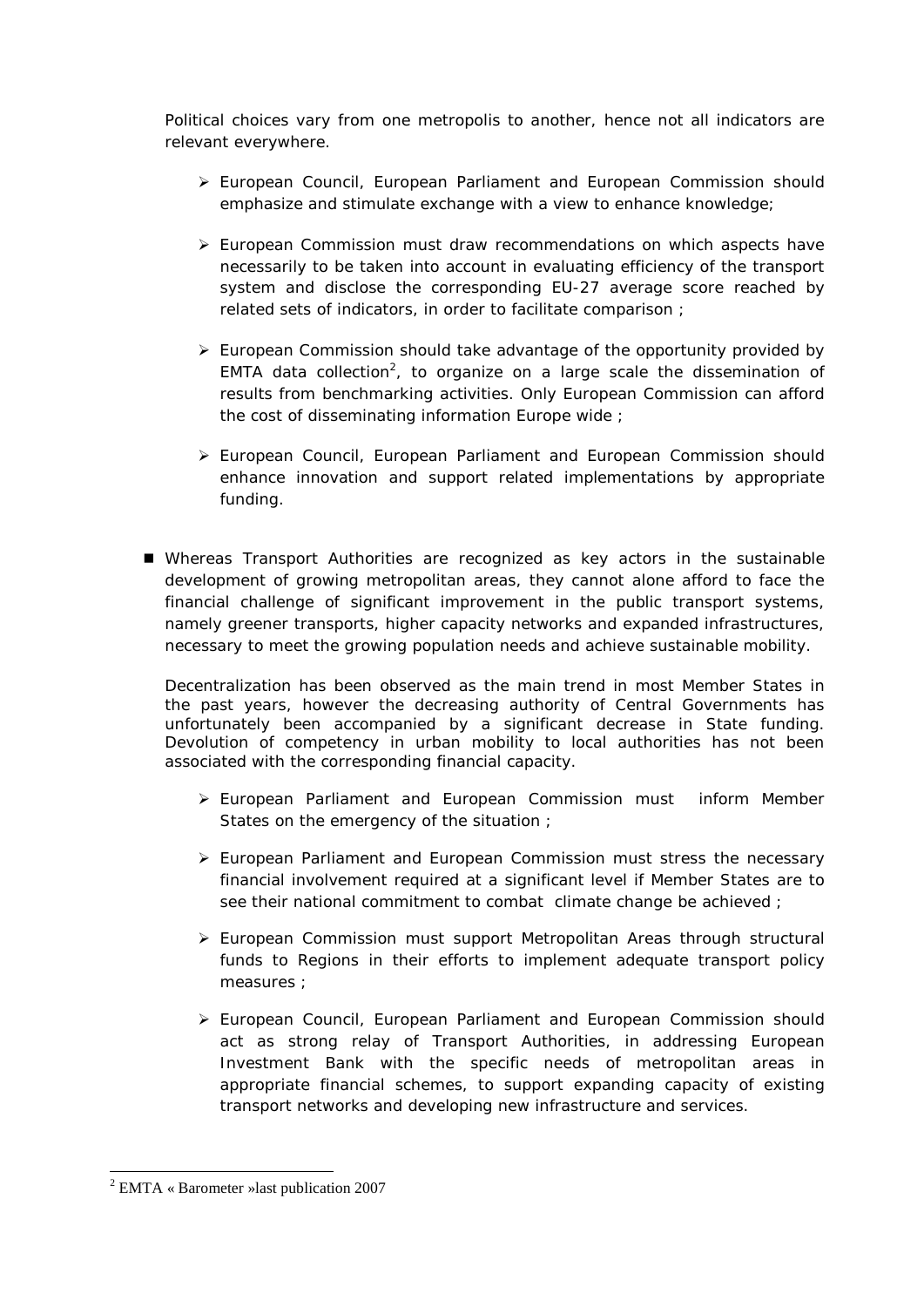Political choices vary from one metropolis to another, hence not all indicators are relevant everywhere.

- $\triangleright$  European Council, European Parliament and European Commission should emphasize and stimulate exchange with a view to enhance knowledge;
- $\triangleright$  European Commission must draw recommendations on which aspects have necessarily to be taken into account in evaluating efficiency of the transport system and disclose the corresponding EU-27 average score reached by related sets of indicators, in order to facilitate comparison ;
- $\triangleright$  European Commission should take advantage of the opportunity provided by EMTA data collection<sup>2</sup>, to organize on a large scale the dissemination of results from benchmarking activities. Only European Commission can afford the cost of disseminating information Europe wide ;
- European Council, European Parliament and European Commission should enhance innovation and support related implementations by appropriate funding.
- Whereas Transport Authorities are recognized as key actors in the sustainable development of growing metropolitan areas, they cannot alone afford to face the financial challenge of significant improvement in the public transport systems, namely greener transports, higher capacity networks and expanded infrastructures, necessary to meet the growing population needs and achieve sustainable mobility.

Decentralization has been observed as the main trend in most Member States in the past years, however the decreasing authority of Central Governments has unfortunately been accompanied by a significant decrease in State funding. Devolution of competency in urban mobility to local authorities has not been associated with the corresponding financial capacity.

- European Parliament and European Commission must inform Member States on the emergency of the situation ;
- $\triangleright$  European Parliament and European Commission must stress the necessary financial involvement required at a significant level if Member States are to see their national commitment to combat climate change be achieved ;
- European Commission must support Metropolitan Areas through structural funds to Regions in their efforts to implement adequate transport policy measures ;
- $\triangleright$  European Council, European Parliament and European Commission should act as strong relay of Transport Authorities, in addressing European Investment Bank with the specific needs of metropolitan areas in appropriate financial schemes, to support expanding capacity of existing transport networks and developing new infrastructure and services.

 <sup>2</sup> EMTA « Barometer »last publication 2007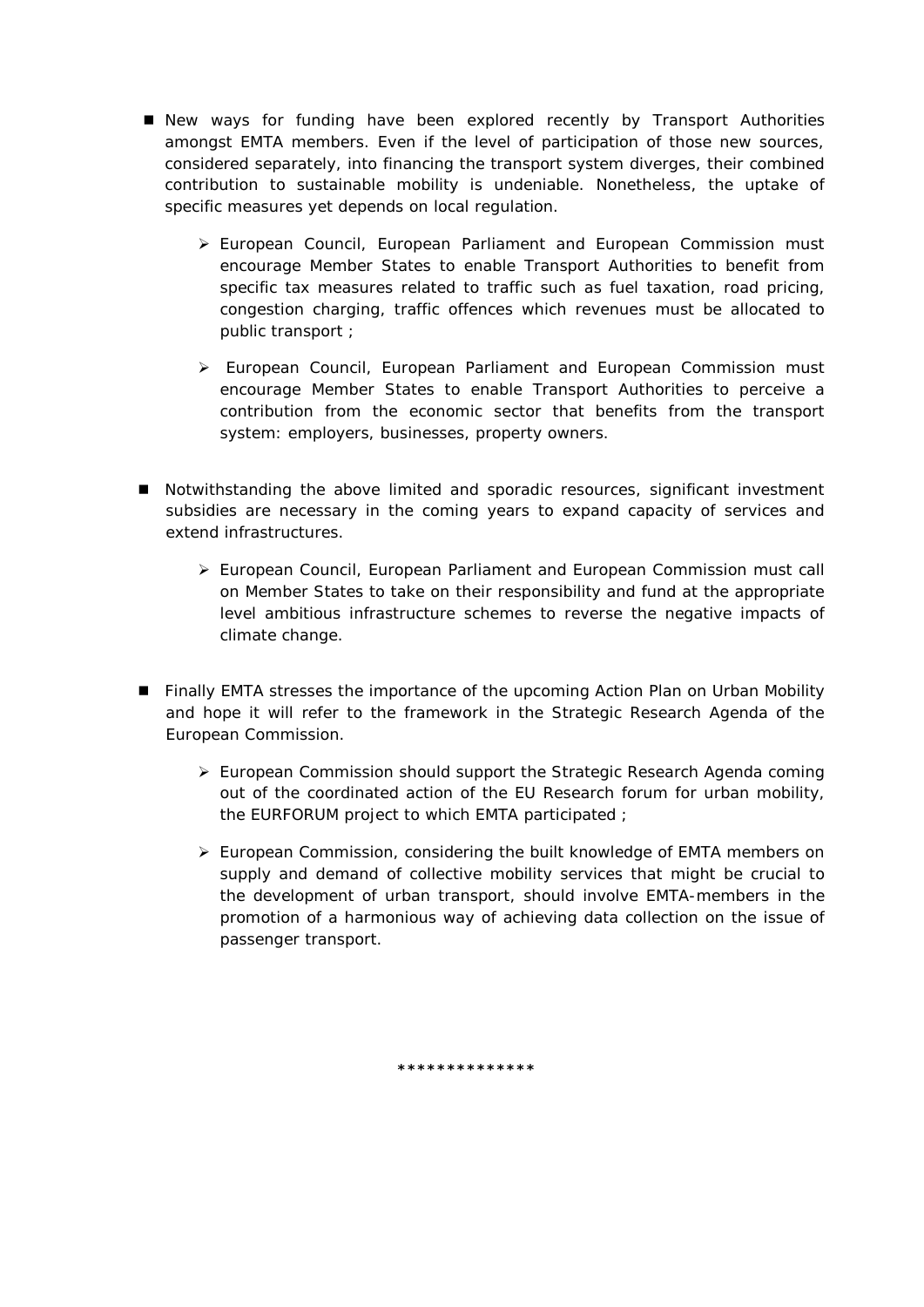- New ways for funding have been explored recently by Transport Authorities amongst EMTA members. Even if the level of participation of those new sources, considered separately, into financing the transport system diverges, their combined contribution to sustainable mobility is undeniable. Nonetheless, the uptake of specific measures yet depends on local regulation.
	- European Council, European Parliament and European Commission must encourage Member States to enable Transport Authorities to benefit from specific tax measures related to traffic such as fuel taxation, road pricing, congestion charging, traffic offences which revenues must be allocated to public transport ;
	- European Council, European Parliament and European Commission must encourage Member States to enable Transport Authorities to perceive a contribution from the economic sector that benefits from the transport system: employers, businesses, property owners.
- Notwithstanding the above limited and sporadic resources, significant investment subsidies are necessary in the coming years to expand capacity of services and extend infrastructures.
	- European Council, European Parliament and European Commission must call on Member States to take on their responsibility and fund at the appropriate level ambitious infrastructure schemes to reverse the negative impacts of climate change.
- **Finally EMTA stresses the importance of the upcoming Action Plan on Urban Mobility** and hope it will refer to the framework in the Strategic Research Agenda of the European Commission.
	- European Commission should support the Strategic Research Agenda coming out of the coordinated action of the EU Research forum for urban mobility, the EURFORUM project to which EMTA participated ;
	- $\triangleright$  European Commission, considering the built knowledge of EMTA members on supply and demand of collective mobility services that might be crucial to the development of urban transport, should involve EMTA-members in the promotion of a harmonious way of achieving data collection on the issue of passenger transport.

**\*\*\*\*\*\*\*\*\*\*\*\*\*\***